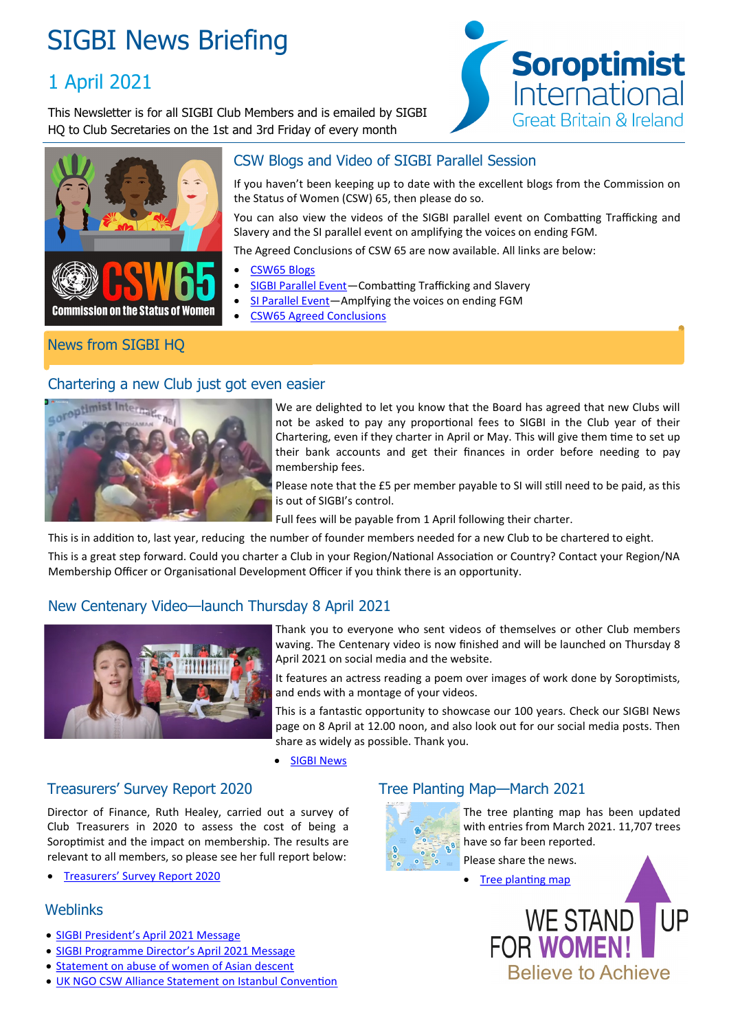# SIGBI News Briefing

# 1 April 2021

This Newsletter is for all SIGBI Club Members and is emailed by SIGBI HQ to Club Secretaries on the 1st and 3rd Friday of every month





# CSW Blogs and Video of SIGBI Parallel Session

If you haven't been keeping up to date with the excellent blogs from the Commission on the Status of Women (CSW) 65, then please do so.

You can also view the videos of the SIGBI parallel event on Combatting Trafficking and Slavery and the SI parallel event on amplifying the voices on ending FGM.

The Agreed Conclusions of CSW 65 are now available. All links are below:

- [CSW65 Blogs](https://sigbi.org/2021/commission-on-the-status-of-women-65-read-our-blogs/)
- [SIGBI Parallel Event—C](https://www.youtube.com/watch?v=x4FtphWTkRI&t=1821s)ombatting Trafficking and Slavery
- SI Parallel Event-Amplfying the voices on ending FGM
- [CSW65 Agreed Conclusions](https://www.unwomen.org/-/media/headquarters/attachments/sections/csw/65/csw65_agreed_conclusions_advance_unedited_version_29_march_2021.pdf?la=en&vs=5504)

# News from SIGBI HQ

#### Chartering a new Club just got even easier



We are delighted to let you know that the Board has agreed that new Clubs will not be asked to pay any proportional fees to SIGBI in the Club year of their Chartering, even if they charter in April or May. This will give them time to set up their bank accounts and get their finances in order before needing to pay membership fees.

Please note that the £5 per member payable to SI will still need to be paid, as this is out of SIGBI's control.

Full fees will be payable from 1 April following their charter.

This is in addition to, last year, reducing the number of founder members needed for a new Club to be chartered to eight.

This is a great step forward. Could you charter a Club in your Region/National Association or Country? Contact your Region/NA Membership Officer or Organisational Development Officer if you think there is an opportunity.

# New Centenary Video—launch Thursday 8 April 2021



Thank you to everyone who sent videos of themselves or other Club members waving. The Centenary video is now finished and will be launched on Thursday 8 April 2021 on social media and the website.

It features an actress reading a poem over images of work done by Soroptimists, and ends with a montage of your videos.

This is a fantastic opportunity to showcase our 100 years. Check our SIGBI News page on 8 April at 12.00 noon, and also look out for our social media posts. Then share as widely as possible. Thank you.

• [SIGBI News](https://sigbi.org/news/)

#### Treasurers' Survey Report 2020

Director of Finance, Ruth Healey, carried out a survey of Club Treasurers in 2020 to assess the cost of being a Soroptimist and the impact on membership. The results are relevant to all members, so please see her full report below:

[Treasurers' Survey Report 2020](https://sigbi.org/members/files/Treasurers-Survey-Report-March-2021.pdf)

#### **Weblinks**

- [SIGBI President's April 2021 Message](https://sigbi.org/2021/presidents-april-2021-message/)
- [SIGBI Programme Director's April 2021 Message](https://sigbi.org/2021/programme-directors-april-2021-message/)
- [Statement on abuse of women of Asian descent](https://sigbi.org/2021/statement-on-abuse-of-women-of-asian-descent/)
- [UK NGO CSW Alliance Statement on Istanbul Convention](https://sigbi.org/2021/ukcsa-statement-on-istanbul-convention/)

# Tree Planting Map—March 2021



The tree planting map has been updated with entries from March 2021. 11,707 trees have so far been reported.

Please share the news. [Tree planting map](https://www.google.com/maps/d/edit?mid=1pw7ACWpF6ToPgYlCJMcb2i5B-Y8kBAAh&ll=19.063905963764277%2C0&z=2)